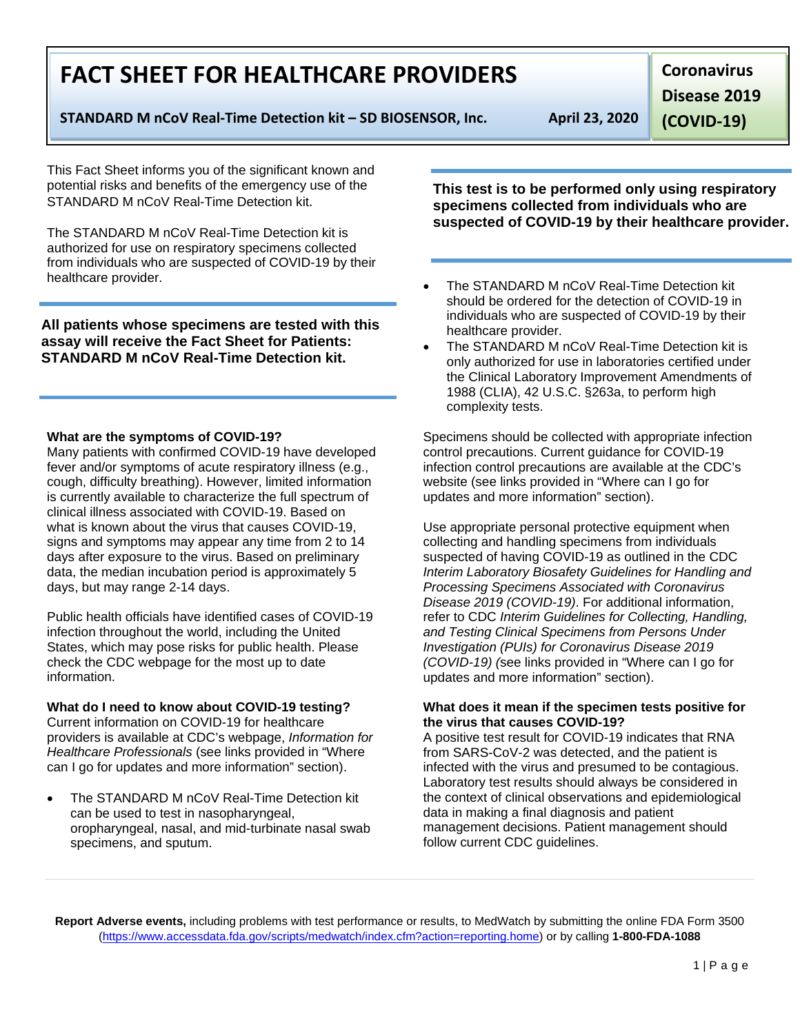**Report Adverse events,** including problems with test performance or results, to MedWatch by submitting the online FDA Form 3500 [\(https://www.accessdata.fda.gov/scripts/medwatch/index.cfm?action=reporting.home\)](https://www.accessdata.fda.gov/scripts/medwatch/index.cfm?action=reporting.home) or by calling **1-800-FDA-1088**

# **FACT SHEET FOR HEALTHCARE PROVIDERS**

**STANDARD M nCoV Real-Time Detection kit – SD BIOSENSOR, Inc. April 23, 2020**

**Coronavirus** 

**Disease 2019** 

**(COVID-19)**

This Fact Sheet informs you of the significant known and potential risks and benefits of the emergency use of the STANDARD M nCoV Real-Time Detection kit.

The STANDARD M nCoV Real-Time Detection kit is authorized for use on respiratory specimens collected from individuals who are suspected of COVID-19 by their healthcare provider.

**All patients whose specimens are tested with this assay will receive the Fact Sheet for Patients: STANDARD M nCoV Real-Time Detection kit.**

## **What are the symptoms of COVID-19?**

Many patients with confirmed COVID-19 have developed fever and/or symptoms of acute respiratory illness (e.g., cough, difficulty breathing). However, limited information is currently available to characterize the full spectrum of clinical illness associated with COVID-19. Based on what is known about the virus that causes COVID-19, signs and symptoms may appear any time from 2 to 14 days after exposure to the virus. Based on preliminary data, the median incubation period is approximately 5 days, but may range 2-14 days.

Public health officials have identified cases of COVID-19 infection throughout the world, including the United States, which may pose risks for public health. Please check the CDC webpage for the most up to date information.

## **What do I need to know about COVID-19 testing?**

Current information on COVID-19 for healthcare providers is available at CDC's webpage, *Information for Healthcare Professionals* (see links provided in "Where can I go for updates and more information" section).

• The STANDARD M nCoV Real-Time Detection kit can be used to test in nasopharyngeal, oropharyngeal, nasal, and mid-turbinate nasal swab specimens, and sputum.

**This test is to be performed only using respiratory specimens collected from individuals who are suspected of COVID-19 by their healthcare provider.**

- The STANDARD M nCoV Real-Time Detection kit should be ordered for the detection of COVID-19 in individuals who are suspected of COVID-19 by their healthcare provider.
- The STANDARD M nCoV Real-Time Detection kit is only authorized for use in laboratories certified under the Clinical Laboratory Improvement Amendments of 1988 (CLIA), 42 U.S.C. §263a, to perform high complexity tests.

Specimens should be collected with appropriate infection control precautions. Current guidance for COVID-19 infection control precautions are available at the CDC's website (see links provided in "Where can I go for updates and more information" section).

Use appropriate personal protective equipment when collecting and handling specimens from individuals suspected of having COVID-19 as outlined in the CDC *Interim Laboratory Biosafety Guidelines for Handling and Processing Specimens Associated with Coronavirus Disease 2019 (COVID-19)*. For additional information, refer to CDC *Interim Guidelines for Collecting, Handling, and Testing Clinical Specimens from Persons Under Investigation (PUIs) for Coronavirus Disease 2019 (COVID-19) (*see links provided in "Where can I go for updates and more information" section).

### **What does it mean if the specimen tests positive for the virus that causes COVID-19?**

A positive test result for COVID-19 indicates that RNA from SARS-CoV-2 was detected, and the patient is infected with the virus and presumed to be contagious. Laboratory test results should always be considered in the context of clinical observations and epidemiological data in making a final diagnosis and patient management decisions. Patient management should follow current CDC guidelines.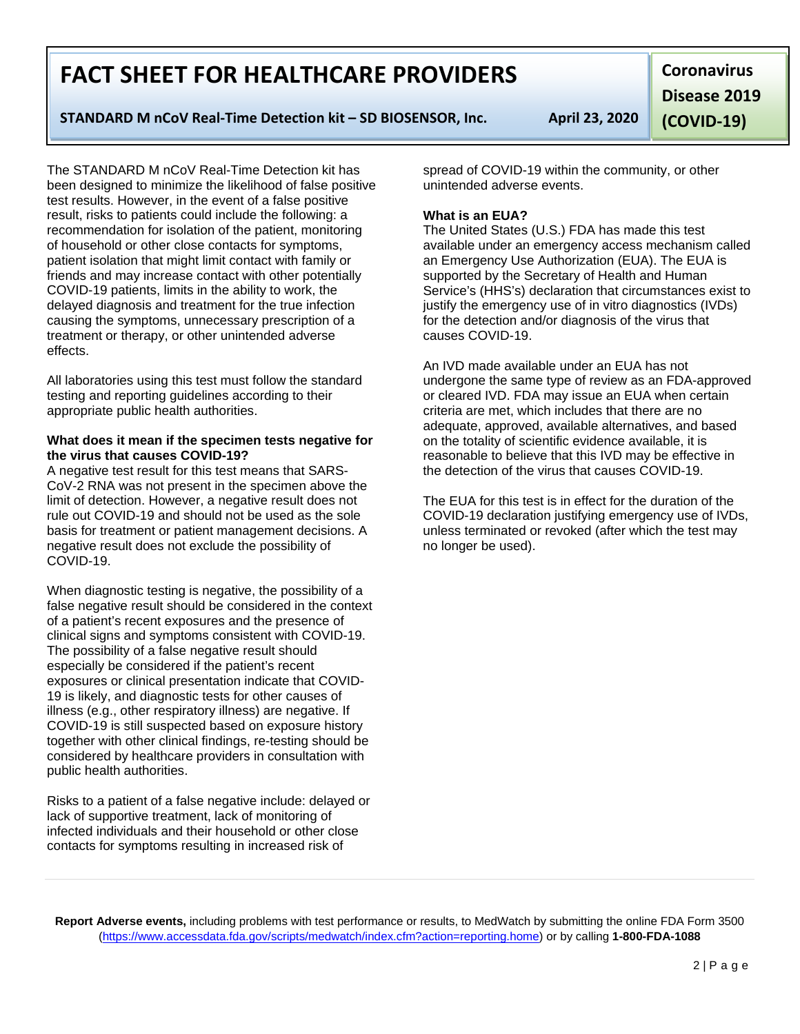**Report Adverse events,** including problems with test performance or results, to MedWatch by submitting the online FDA Form 3500 [\(https://www.accessdata.fda.gov/scripts/medwatch/index.cfm?action=reporting.home\)](https://www.accessdata.fda.gov/scripts/medwatch/index.cfm?action=reporting.home) or by calling **1-800-FDA-1088**

# **FACT SHEET FOR HEALTHCARE PROVIDERS**

## **STANDARD M nCoV Real-Time Detection kit – SD BIOSENSOR, Inc. April 23, 2020**

The STANDARD M nCoV Real-Time Detection kit has been designed to minimize the likelihood of false positive test results. However, in the event of a false positive result, risks to patients could include the following: a recommendation for isolation of the patient, monitoring of household or other close contacts for symptoms, patient isolation that might limit contact with family or friends and may increase contact with other potentially COVID-19 patients, limits in the ability to work, the delayed diagnosis and treatment for the true infection causing the symptoms, unnecessary prescription of a treatment or therapy, or other unintended adverse effects.

All laboratories using this test must follow the standard testing and reporting guidelines according to their appropriate public health authorities.

#### **What does it mean if the specimen tests negative for the virus that causes COVID-19?**

A negative test result for this test means that SARS-CoV-2 RNA was not present in the specimen above the limit of detection. However, a negative result does not rule out COVID-19 and should not be used as the sole basis for treatment or patient management decisions. A negative result does not exclude the possibility of COVID-19.

When diagnostic testing is negative, the possibility of a false negative result should be considered in the context of a patient's recent exposures and the presence of clinical signs and symptoms consistent with COVID-19. The possibility of a false negative result should especially be considered if the patient's recent exposures or clinical presentation indicate that COVID-19 is likely, and diagnostic tests for other causes of illness (e.g., other respiratory illness) are negative. If COVID-19 is still suspected based on exposure history together with other clinical findings, re-testing should be considered by healthcare providers in consultation with public health authorities.

Risks to a patient of a false negative include: delayed or lack of supportive treatment, lack of monitoring of infected individuals and their household or other close contacts for symptoms resulting in increased risk of

spread of COVID-19 within the community, or other unintended adverse events.

## **What is an EUA?**

The United States (U.S.) FDA has made this test available under an emergency access mechanism called an Emergency Use Authorization (EUA). The EUA is supported by the Secretary of Health and Human Service's (HHS's) declaration that circumstances exist to justify the emergency use of in vitro diagnostics (IVDs) for the detection and/or diagnosis of the virus that causes COVID-19.

An IVD made available under an EUA has not undergone the same type of review as an FDA-approved or cleared IVD. FDA may issue an EUA when certain criteria are met, which includes that there are no adequate, approved, available alternatives, and based on the totality of scientific evidence available, it is reasonable to believe that this IVD may be effective in the detection of the virus that causes COVID-19.

The EUA for this test is in effect for the duration of the COVID-19 declaration justifying emergency use of IVDs, unless terminated or revoked (after which the test may no longer be used).

**Coronavirus Disease 2019 (COVID-19)**